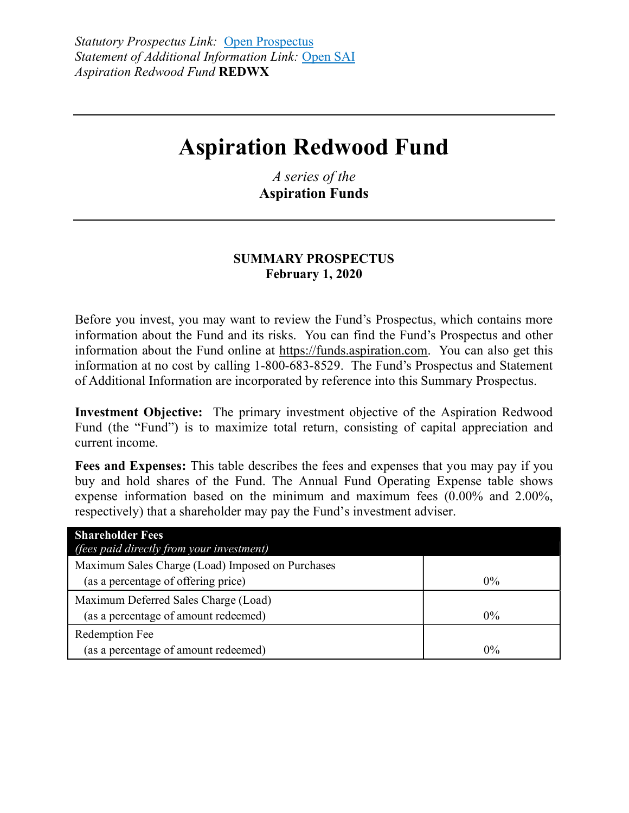# **Aspiration Redwood Fund**

*A series of the*  **Aspiration Funds** 

#### **SUMMARY PROSPECTUS February 1, 2020**

Before you invest, you may want to review the Fund's Prospectus, which contains more information about the Fund and its risks. You can find the Fund's Prospectus and other information about the Fund online at https://funds.aspiration.com. You can also get this information at no cost by calling 1-800-683-8529. The Fund's Prospectus and Statement of Additional Information are incorporated by reference into this Summary Prospectus.

**Investment Objective:** The primary investment objective of the Aspiration Redwood Fund (the "Fund") is to maximize total return, consisting of capital appreciation and current income.

**Fees and Expenses:** This table describes the fees and expenses that you may pay if you buy and hold shares of the Fund. The Annual Fund Operating Expense table shows expense information based on the minimum and maximum fees (0.00% and 2.00%, respectively) that a shareholder may pay the Fund's investment adviser.

| <b>Shareholder Fees</b>                          |       |
|--------------------------------------------------|-------|
| <i>(fees paid directly from your investment)</i> |       |
| Maximum Sales Charge (Load) Imposed on Purchases |       |
| (as a percentage of offering price)              | $0\%$ |
| Maximum Deferred Sales Charge (Load)             |       |
| (as a percentage of amount redeemed)             | $0\%$ |
| Redemption Fee                                   |       |
| (as a percentage of amount redeemed)             | $0\%$ |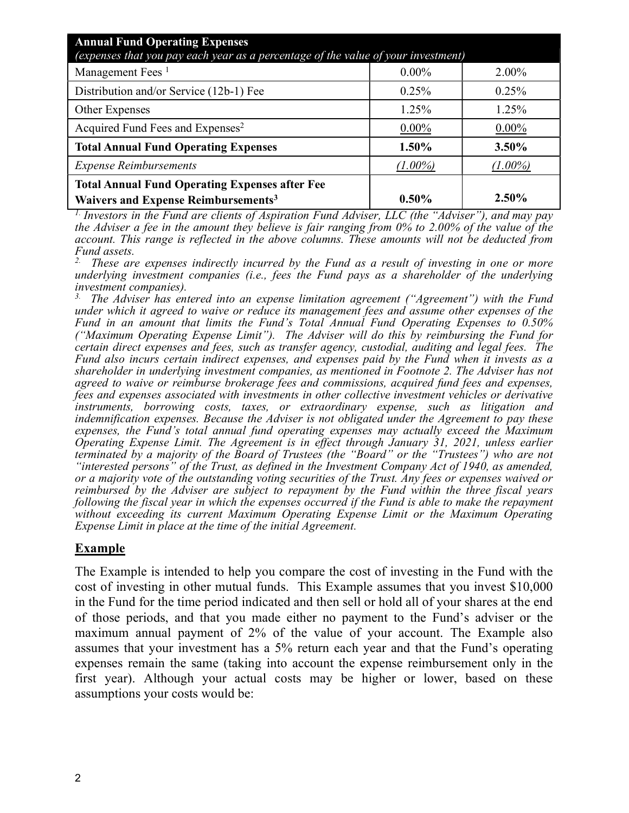| <b>Annual Fund Operating Expenses</b><br>(expenses that you pay each year as a percentage of the value of your investment) |            |            |
|----------------------------------------------------------------------------------------------------------------------------|------------|------------|
| Management Fees <sup>1</sup>                                                                                               | $0.00\%$   | 2.00%      |
| Distribution and/or Service (12b-1) Fee                                                                                    | 0.25%      | 0.25%      |
| Other Expenses                                                                                                             | 1.25%      | 1.25%      |
| Acquired Fund Fees and Expenses <sup>2</sup>                                                                               | $0.00\%$   | $0.00\%$   |
| <b>Total Annual Fund Operating Expenses</b>                                                                                | 1.50%      | 3.50%      |
| <b>Expense Reimbursements</b>                                                                                              | $(1.00\%)$ | $(1.00\%)$ |
| <b>Total Annual Fund Operating Expenses after Fee</b><br>Waivers and Expense Reimbursements <sup>3</sup>                   | $0.50\%$   | $2.50\%$   |

*1. Investors in the Fund are clients of Aspiration Fund Adviser, LLC (the "Adviser"), and may pay the Adviser a fee in the amount they believe is fair ranging from 0% to 2.00% of the value of the account. This range is reflected in the above columns. These amounts will not be deducted from Fund assets.* 

*2. These are expenses indirectly incurred by the Fund as a result of investing in one or more underlying investment companies (i.e., fees the Fund pays as a shareholder of the underlying investment companies).* 

*3. The Adviser has entered into an expense limitation agreement ("Agreement") with the Fund under which it agreed to waive or reduce its management fees and assume other expenses of the Fund in an amount that limits the Fund's Total Annual Fund Operating Expenses to 0.50% ("Maximum Operating Expense Limit"). The Adviser will do this by reimbursing the Fund for certain direct expenses and fees, such as transfer agency, custodial, auditing and legal fees. The Fund also incurs certain indirect expenses, and expenses paid by the Fund when it invests as a shareholder in underlying investment companies, as mentioned in Footnote 2. The Adviser has not agreed to waive or reimburse brokerage fees and commissions, acquired fund fees and expenses, fees and expenses associated with investments in other collective investment vehicles or derivative instruments, borrowing costs, taxes, or extraordinary expense, such as litigation and indemnification expenses. Because the Adviser is not obligated under the Agreement to pay these expenses, the Fund's total annual fund operating expenses may actually exceed the Maximum Operating Expense Limit. The Agreement is in effect through January 31, 2021, unless earlier terminated by a majority of the Board of Trustees (the "Board" or the "Trustees") who are not "interested persons" of the Trust, as defined in the Investment Company Act of 1940, as amended, or a majority vote of the outstanding voting securities of the Trust. Any fees or expenses waived or reimbursed by the Adviser are subject to repayment by the Fund within the three fiscal years following the fiscal year in which the expenses occurred if the Fund is able to make the repayment without exceeding its current Maximum Operating Expense Limit or the Maximum Operating Expense Limit in place at the time of the initial Agreement.* 

## **Example**

The Example is intended to help you compare the cost of investing in the Fund with the cost of investing in other mutual funds. This Example assumes that you invest \$10,000 in the Fund for the time period indicated and then sell or hold all of your shares at the end of those periods, and that you made either no payment to the Fund's adviser or the maximum annual payment of 2% of the value of your account. The Example also assumes that your investment has a 5% return each year and that the Fund's operating expenses remain the same (taking into account the expense reimbursement only in the first year). Although your actual costs may be higher or lower, based on these assumptions your costs would be: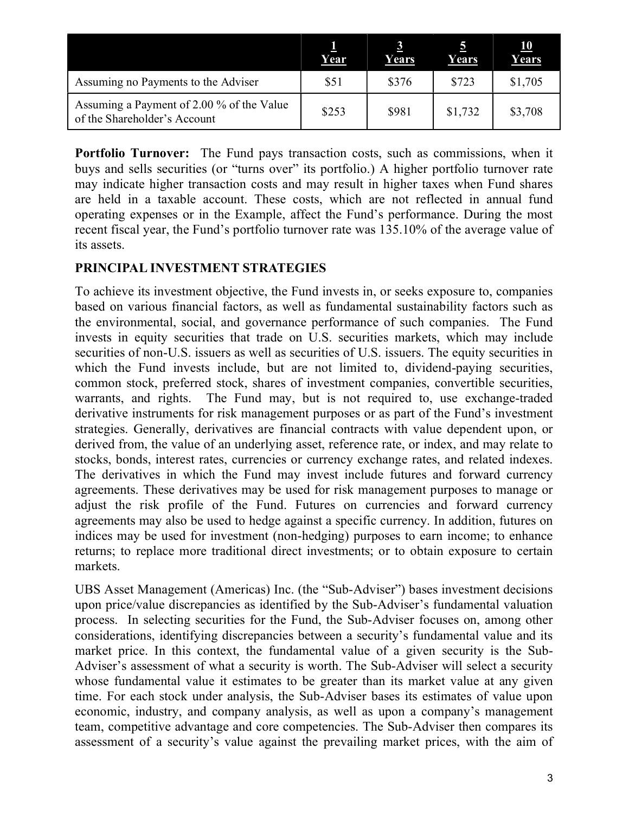|                                                                           | Year  | Years | Years   | <u>10</u><br>Years |
|---------------------------------------------------------------------------|-------|-------|---------|--------------------|
| Assuming no Payments to the Adviser                                       | \$51  | \$376 | \$723   | \$1,705            |
| Assuming a Payment of 2.00 % of the Value<br>of the Shareholder's Account | \$253 | \$981 | \$1,732 | \$3,708            |

**Portfolio Turnover:** The Fund pays transaction costs, such as commissions, when it buys and sells securities (or "turns over" its portfolio.) A higher portfolio turnover rate may indicate higher transaction costs and may result in higher taxes when Fund shares are held in a taxable account. These costs, which are not reflected in annual fund operating expenses or in the Example, affect the Fund's performance. During the most recent fiscal year, the Fund's portfolio turnover rate was 135.10% of the average value of its assets.

## **PRINCIPAL INVESTMENT STRATEGIES**

To achieve its investment objective, the Fund invests in, or seeks exposure to, companies based on various financial factors, as well as fundamental sustainability factors such as the environmental, social, and governance performance of such companies. The Fund invests in equity securities that trade on U.S. securities markets, which may include securities of non-U.S. issuers as well as securities of U.S. issuers. The equity securities in which the Fund invests include, but are not limited to, dividend-paying securities, common stock, preferred stock, shares of investment companies, convertible securities, warrants, and rights. The Fund may, but is not required to, use exchange-traded derivative instruments for risk management purposes or as part of the Fund's investment strategies. Generally, derivatives are financial contracts with value dependent upon, or derived from, the value of an underlying asset, reference rate, or index, and may relate to stocks, bonds, interest rates, currencies or currency exchange rates, and related indexes. The derivatives in which the Fund may invest include futures and forward currency agreements. These derivatives may be used for risk management purposes to manage or adjust the risk profile of the Fund. Futures on currencies and forward currency agreements may also be used to hedge against a specific currency. In addition, futures on indices may be used for investment (non-hedging) purposes to earn income; to enhance returns; to replace more traditional direct investments; or to obtain exposure to certain markets.

UBS Asset Management (Americas) Inc. (the "Sub-Adviser") bases investment decisions upon price/value discrepancies as identified by the Sub-Adviser's fundamental valuation process. In selecting securities for the Fund, the Sub-Adviser focuses on, among other considerations, identifying discrepancies between a security's fundamental value and its market price. In this context, the fundamental value of a given security is the Sub-Adviser's assessment of what a security is worth. The Sub-Adviser will select a security whose fundamental value it estimates to be greater than its market value at any given time. For each stock under analysis, the Sub-Adviser bases its estimates of value upon economic, industry, and company analysis, as well as upon a company's management team, competitive advantage and core competencies. The Sub-Adviser then compares its assessment of a security's value against the prevailing market prices, with the aim of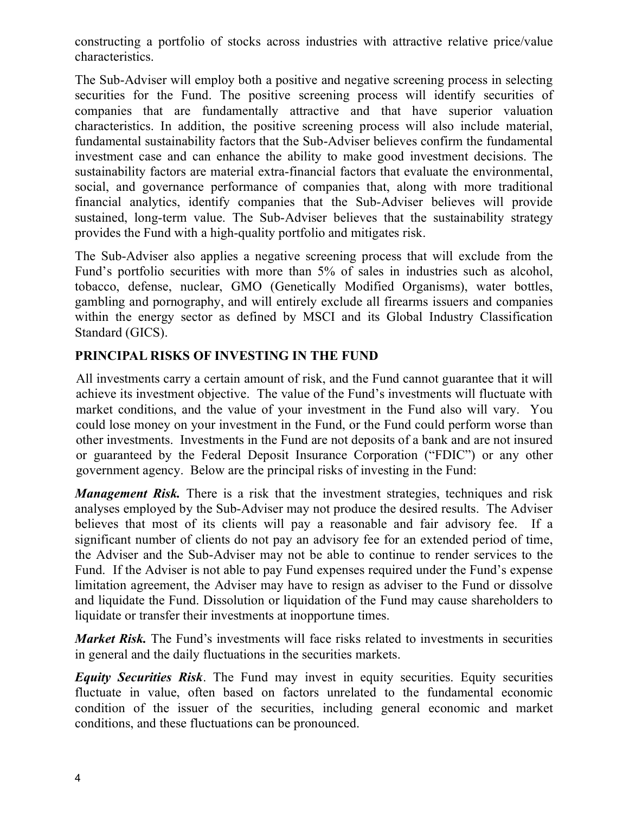constructing a portfolio of stocks across industries with attractive relative price/value characteristics.

The Sub-Adviser will employ both a positive and negative screening process in selecting securities for the Fund. The positive screening process will identify securities of companies that are fundamentally attractive and that have superior valuation characteristics. In addition, the positive screening process will also include material, fundamental sustainability factors that the Sub-Adviser believes confirm the fundamental investment case and can enhance the ability to make good investment decisions. The sustainability factors are material extra-financial factors that evaluate the environmental, social, and governance performance of companies that, along with more traditional financial analytics, identify companies that the Sub-Adviser believes will provide sustained, long-term value. The Sub-Adviser believes that the sustainability strategy provides the Fund with a high-quality portfolio and mitigates risk.

The Sub-Adviser also applies a negative screening process that will exclude from the Fund's portfolio securities with more than 5% of sales in industries such as alcohol, tobacco, defense, nuclear, GMO (Genetically Modified Organisms), water bottles, gambling and pornography, and will entirely exclude all firearms issuers and companies within the energy sector as defined by MSCI and its Global Industry Classification Standard (GICS).

## **PRINCIPAL RISKS OF INVESTING IN THE FUND**

All investments carry a certain amount of risk, and the Fund cannot guarantee that it will achieve its investment objective. The value of the Fund's investments will fluctuate with market conditions, and the value of your investment in the Fund also will vary. You could lose money on your investment in the Fund, or the Fund could perform worse than other investments. Investments in the Fund are not deposits of a bank and are not insured or guaranteed by the Federal Deposit Insurance Corporation ("FDIC") or any other government agency. Below are the principal risks of investing in the Fund:

*Management Risk.* There is a risk that the investment strategies, techniques and risk analyses employed by the Sub-Adviser may not produce the desired results. The Adviser believes that most of its clients will pay a reasonable and fair advisory fee. If a significant number of clients do not pay an advisory fee for an extended period of time, the Adviser and the Sub-Adviser may not be able to continue to render services to the Fund. If the Adviser is not able to pay Fund expenses required under the Fund's expense limitation agreement, the Adviser may have to resign as adviser to the Fund or dissolve and liquidate the Fund. Dissolution or liquidation of the Fund may cause shareholders to liquidate or transfer their investments at inopportune times.

*Market Risk.* The Fund's investments will face risks related to investments in securities in general and the daily fluctuations in the securities markets.

*Equity Securities Risk*. The Fund may invest in equity securities. Equity securities fluctuate in value, often based on factors unrelated to the fundamental economic condition of the issuer of the securities, including general economic and market conditions, and these fluctuations can be pronounced.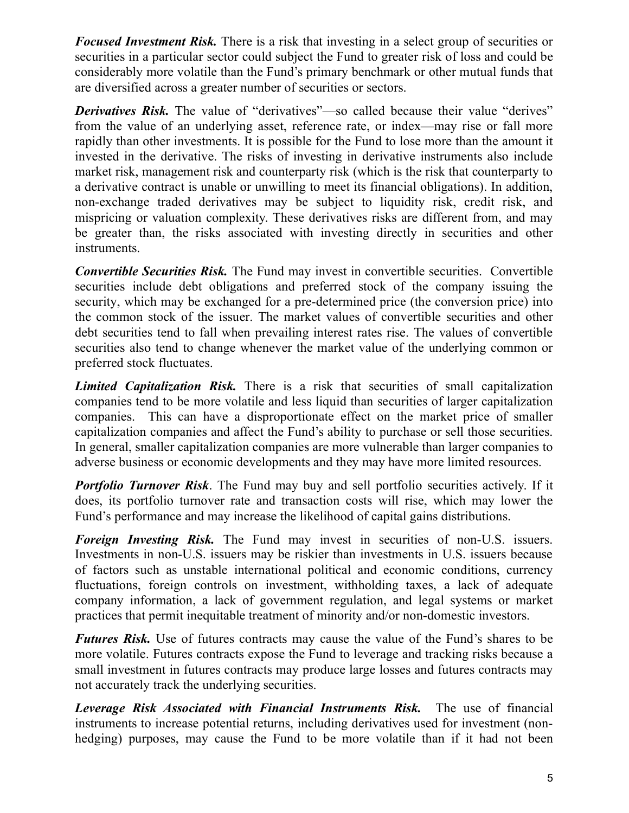*Focused Investment Risk.* There is a risk that investing in a select group of securities or securities in a particular sector could subject the Fund to greater risk of loss and could be considerably more volatile than the Fund's primary benchmark or other mutual funds that are diversified across a greater number of securities or sectors.

**Derivatives Risk.** The value of "derivatives"—so called because their value "derives" from the value of an underlying asset, reference rate, or index—may rise or fall more rapidly than other investments. It is possible for the Fund to lose more than the amount it invested in the derivative. The risks of investing in derivative instruments also include market risk, management risk and counterparty risk (which is the risk that counterparty to a derivative contract is unable or unwilling to meet its financial obligations). In addition, non-exchange traded derivatives may be subject to liquidity risk, credit risk, and mispricing or valuation complexity. These derivatives risks are different from, and may be greater than, the risks associated with investing directly in securities and other instruments.

*Convertible Securities Risk.* The Fund may invest in convertible securities. Convertible securities include debt obligations and preferred stock of the company issuing the security, which may be exchanged for a pre-determined price (the conversion price) into the common stock of the issuer. The market values of convertible securities and other debt securities tend to fall when prevailing interest rates rise. The values of convertible securities also tend to change whenever the market value of the underlying common or preferred stock fluctuates.

*Limited Capitalization Risk.* There is a risk that securities of small capitalization companies tend to be more volatile and less liquid than securities of larger capitalization companies. This can have a disproportionate effect on the market price of smaller capitalization companies and affect the Fund's ability to purchase or sell those securities. In general, smaller capitalization companies are more vulnerable than larger companies to adverse business or economic developments and they may have more limited resources.

*Portfolio Turnover Risk.* The Fund may buy and sell portfolio securities actively. If it does, its portfolio turnover rate and transaction costs will rise, which may lower the Fund's performance and may increase the likelihood of capital gains distributions.

*Foreign Investing Risk.* The Fund may invest in securities of non-U.S. issuers. Investments in non-U.S. issuers may be riskier than investments in U.S. issuers because of factors such as unstable international political and economic conditions, currency fluctuations, foreign controls on investment, withholding taxes, a lack of adequate company information, a lack of government regulation, and legal systems or market practices that permit inequitable treatment of minority and/or non-domestic investors.

*Futures Risk.* Use of futures contracts may cause the value of the Fund's shares to be more volatile. Futures contracts expose the Fund to leverage and tracking risks because a small investment in futures contracts may produce large losses and futures contracts may not accurately track the underlying securities.

*Leverage Risk Associated with Financial Instruments Risk.* The use of financial instruments to increase potential returns, including derivatives used for investment (nonhedging) purposes, may cause the Fund to be more volatile than if it had not been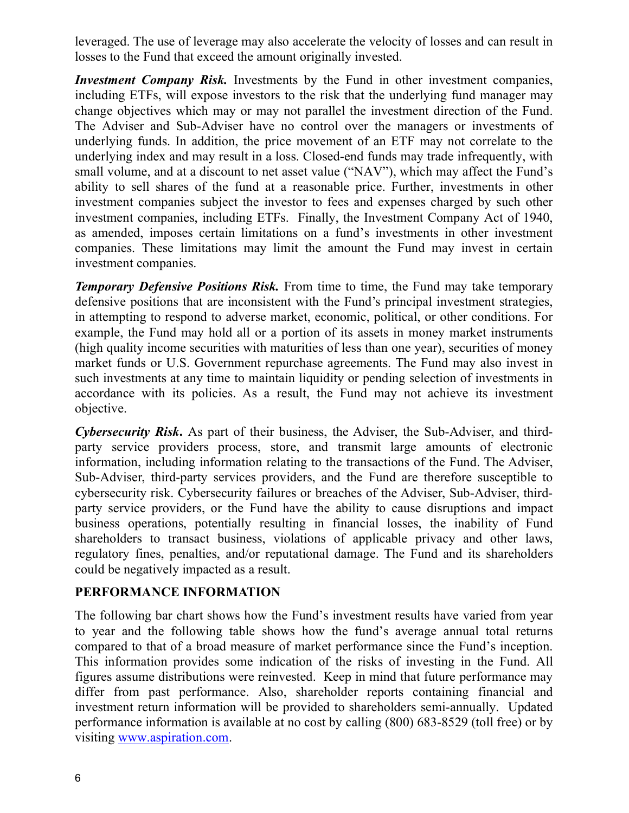leveraged. The use of leverage may also accelerate the velocity of losses and can result in losses to the Fund that exceed the amount originally invested.

*Investment Company Risk.* Investments by the Fund in other investment companies, including ETFs, will expose investors to the risk that the underlying fund manager may change objectives which may or may not parallel the investment direction of the Fund. The Adviser and Sub-Adviser have no control over the managers or investments of underlying funds. In addition, the price movement of an ETF may not correlate to the underlying index and may result in a loss. Closed-end funds may trade infrequently, with small volume, and at a discount to net asset value ("NAV"), which may affect the Fund's ability to sell shares of the fund at a reasonable price. Further, investments in other investment companies subject the investor to fees and expenses charged by such other investment companies, including ETFs. Finally, the Investment Company Act of 1940, as amended, imposes certain limitations on a fund's investments in other investment companies. These limitations may limit the amount the Fund may invest in certain investment companies.

*Temporary Defensive Positions Risk.* From time to time, the Fund may take temporary defensive positions that are inconsistent with the Fund's principal investment strategies, in attempting to respond to adverse market, economic, political, or other conditions. For example, the Fund may hold all or a portion of its assets in money market instruments (high quality income securities with maturities of less than one year), securities of money market funds or U.S. Government repurchase agreements. The Fund may also invest in such investments at any time to maintain liquidity or pending selection of investments in accordance with its policies. As a result, the Fund may not achieve its investment objective.

*Cybersecurity Risk***.** As part of their business, the Adviser, the Sub-Adviser, and thirdparty service providers process, store, and transmit large amounts of electronic information, including information relating to the transactions of the Fund. The Adviser, Sub-Adviser, third-party services providers, and the Fund are therefore susceptible to cybersecurity risk. Cybersecurity failures or breaches of the Adviser, Sub-Adviser, thirdparty service providers, or the Fund have the ability to cause disruptions and impact business operations, potentially resulting in financial losses, the inability of Fund shareholders to transact business, violations of applicable privacy and other laws, regulatory fines, penalties, and/or reputational damage. The Fund and its shareholders could be negatively impacted as a result.

## **PERFORMANCE INFORMATION**

The following bar chart shows how the Fund's investment results have varied from year to year and the following table shows how the fund's average annual total returns compared to that of a broad measure of market performance since the Fund's inception. This information provides some indication of the risks of investing in the Fund. All figures assume distributions were reinvested. Keep in mind that future performance may differ from past performance. Also, shareholder reports containing financial and investment return information will be provided to shareholders semi-annually. Updated performance information is available at no cost by calling (800) 683-8529 (toll free) or by visiting www.aspiration.com.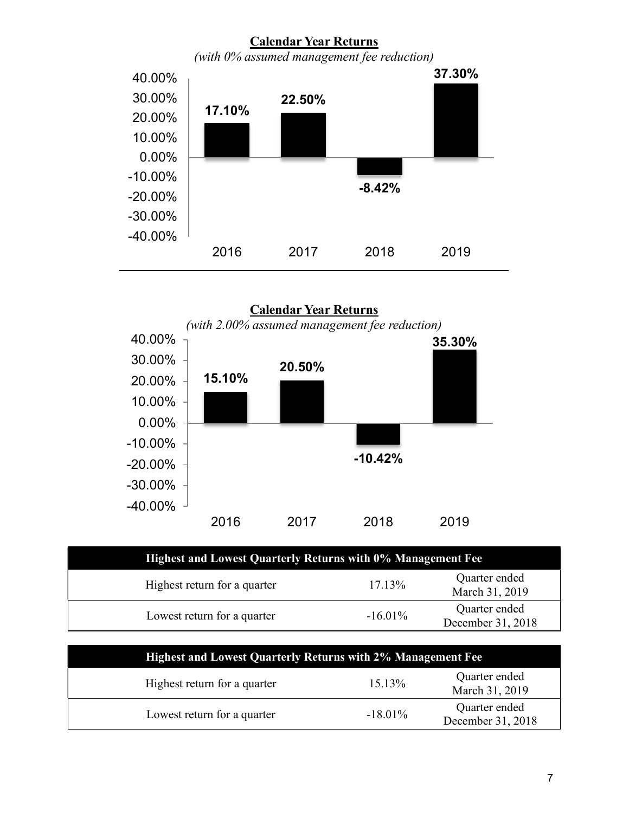

**Calendar Year Returns**  *(with 2.00% assumed management fee reduction)* **15.10% 20.50% -10.42% 35.30%** -40.00% -30.00% -20.00% -10.00% 0.00% 10.00% 20.00% 30.00% 40.00% 2016 2017 2018 2019

| Highest and Lowest Quarterly Returns with 0% Management Fee |            |                                    |
|-------------------------------------------------------------|------------|------------------------------------|
| Highest return for a quarter                                | $17.13\%$  | Quarter ended<br>March 31, 2019    |
| Lowest return for a quarter                                 | $-16.01\%$ | Quarter ended<br>December 31, 2018 |

| <b>Highest and Lowest Quarterly Returns with 2% Management Fee</b> |            |                                    |
|--------------------------------------------------------------------|------------|------------------------------------|
| Highest return for a quarter                                       | $15.13\%$  | Quarter ended<br>March 31, 2019    |
| Lowest return for a quarter                                        | $-18.01\%$ | Quarter ended<br>December 31, 2018 |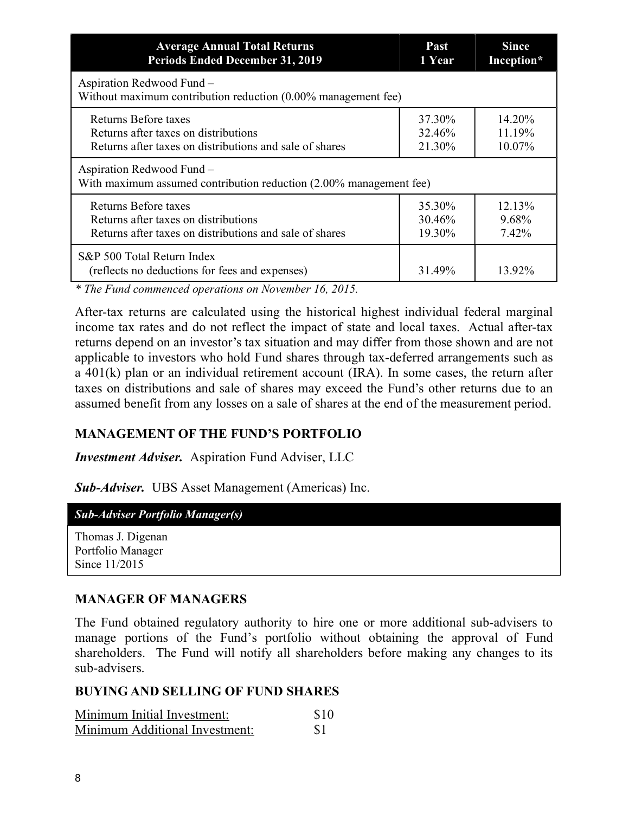| <b>Average Annual Total Returns</b>                                                             | Past   | <b>Since</b> |
|-------------------------------------------------------------------------------------------------|--------|--------------|
| <b>Periods Ended December 31, 2019</b>                                                          | 1 Year | Inception*   |
| Aspiration Redwood Fund -<br>Without maximum contribution reduction (0.00% management fee)      |        |              |
| Returns Before taxes                                                                            | 37.30% | 14.20%       |
| Returns after taxes on distributions                                                            | 32.46% | 11.19%       |
| Returns after taxes on distributions and sale of shares                                         | 21.30% | 10.07%       |
| Aspiration Redwood Fund -<br>With maximum assumed contribution reduction (2.00% management fee) |        |              |
| Returns Before taxes                                                                            | 35.30% | 12.13%       |
| Returns after taxes on distributions                                                            | 30.46% | 9.68%        |
| Returns after taxes on distributions and sale of shares                                         | 19.30% | 7.42%        |
| S&P 500 Total Return Index<br>(reflects no deductions for fees and expenses)                    | 31.49% | 13.92%       |

*\* The Fund commenced operations on November 16, 2015.* 

After-tax returns are calculated using the historical highest individual federal marginal income tax rates and do not reflect the impact of state and local taxes. Actual after-tax returns depend on an investor's tax situation and may differ from those shown and are not applicable to investors who hold Fund shares through tax-deferred arrangements such as a 401(k) plan or an individual retirement account (IRA). In some cases, the return after taxes on distributions and sale of shares may exceed the Fund's other returns due to an assumed benefit from any losses on a sale of shares at the end of the measurement period.

## **MANAGEMENT OF THE FUND'S PORTFOLIO**

*Investment Adviser.* Aspiration Fund Adviser, LLC

*Sub-Adviser.* UBS Asset Management (Americas) Inc.

#### *Sub-Adviser Portfolio Manager(s)*

Thomas J. Digenan Portfolio Manager Since 11/2015

## **MANAGER OF MANAGERS**

The Fund obtained regulatory authority to hire one or more additional sub-advisers to manage portions of the Fund's portfolio without obtaining the approval of Fund shareholders. The Fund will notify all shareholders before making any changes to its sub-advisers.

#### **BUYING AND SELLING OF FUND SHARES**

| Minimum Initial Investment:    | \$10      |
|--------------------------------|-----------|
| Minimum Additional Investment: | <b>S1</b> |